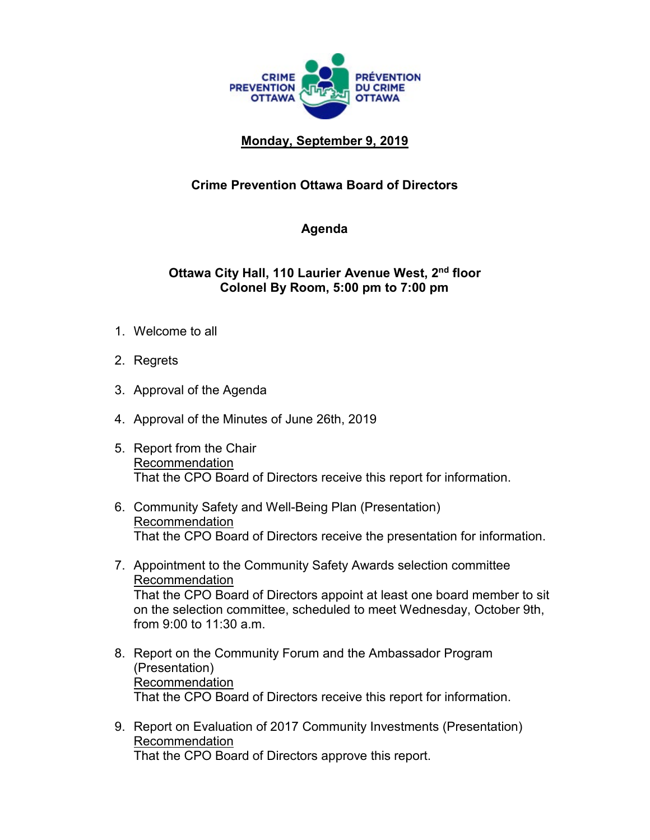

## **Monday, September 9, 2019**

## **Crime Prevention Ottawa Board of Directors**

## **Agenda**

## **Ottawa City Hall, 110 Laurier Avenue West, 2nd floor Colonel By Room, 5:00 pm to 7:00 pm**

- 1. Welcome to all
- 2. Regrets
- 3. Approval of the Agenda
- 4. Approval of the Minutes of June 26th, 2019
- 5. Report from the Chair Recommendation That the CPO Board of Directors receive this report for information.
- 6. Community Safety and Well-Being Plan (Presentation) Recommendation That the CPO Board of Directors receive the presentation for information.
- 7. Appointment to the Community Safety Awards selection committee Recommendation That the CPO Board of Directors appoint at least one board member to sit on the selection committee, scheduled to meet Wednesday, October 9th, from 9:00 to 11:30 a.m.
- 8. Report on the Community Forum and the Ambassador Program (Presentation) Recommendation That the CPO Board of Directors receive this report for information.
- 9. Report on Evaluation of 2017 Community Investments (Presentation) Recommendation That the CPO Board of Directors approve this report.